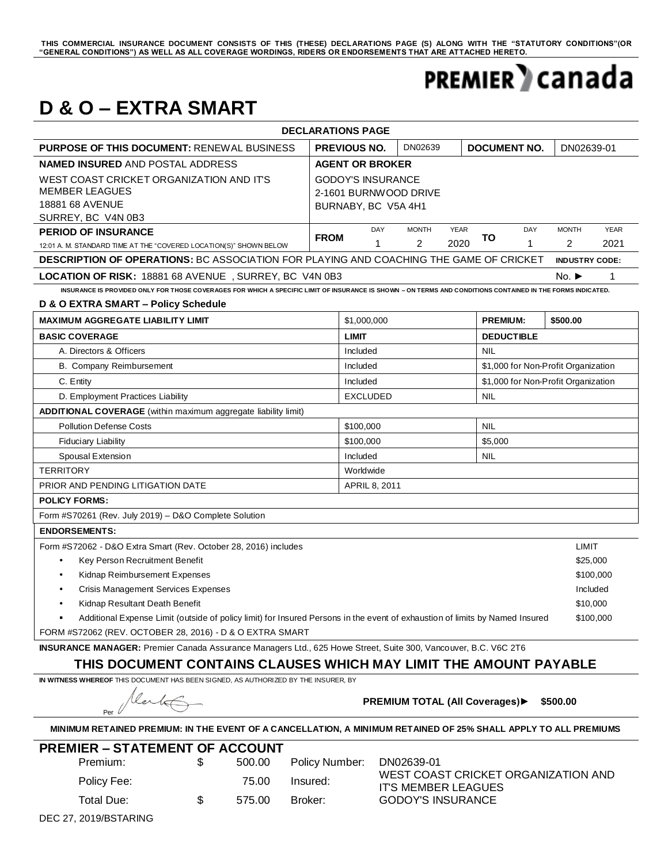### THIS COMMERCIAL INSURANCE DOCUMENT CONSISTS OF THIS (THESE) DECLARATIONS PAGE (S) ALONG WITH THE "STATUTORY CONDITIONS"(OR<br>"GENERAL CONDITIONS") AS WELL AS ALL COVERAGE WORDINGS, RIDERS OR ENDORSEMENTS THAT ARE ATTACHED HE

### **PREMIER** canada

### **D & O – EXTRA SMART**

| <b>DECLARATIONS PAGE</b>                                                                                                                                    |                                                                          |                               |              |             |    |                                     |                       |             |  |
|-------------------------------------------------------------------------------------------------------------------------------------------------------------|--------------------------------------------------------------------------|-------------------------------|--------------|-------------|----|-------------------------------------|-----------------------|-------------|--|
| <b>PURPOSE OF THIS DOCUMENT: RENEWAL BUSINESS</b>                                                                                                           |                                                                          | <b>PREVIOUS NO.</b>           | DN02639      |             |    | DOCUMENT NO.                        | DN02639-01            |             |  |
| <b>NAMED INSURED AND POSTAL ADDRESS</b>                                                                                                                     | <b>AGENT OR BROKER</b>                                                   |                               |              |             |    |                                     |                       |             |  |
| WEST COAST CRICKET ORGANIZATION AND IT'S<br><b>MEMBER LEAGUES</b><br>18881 68 AVENUE<br>SURREY, BC V4N 0B3                                                  | <b>GODOY'S INSURANCE</b><br>2-1601 BURNWOOD DRIVE<br>BURNABY, BC V5A 4H1 |                               |              |             |    |                                     |                       |             |  |
| <b>PERIOD OF INSURANCE</b>                                                                                                                                  | <b>FROM</b>                                                              | DAY                           | <b>MONTH</b> | <b>YEAR</b> | TO | DAY                                 | <b>MONTH</b>          | <b>YEAR</b> |  |
| 12:01 A. M. STANDARD TIME AT THE "COVERED LOCATION(S)" SHOWN BELOW                                                                                          |                                                                          | $\mathbf 1$                   | 2            | 2020        |    | $\mathbf{1}$                        | $\overline{2}$        | 2021        |  |
| DESCRIPTION OF OPERATIONS: BC ASSOCIATION FOR PLAYING AND COACHING THE GAME OF CRICKET                                                                      |                                                                          |                               |              |             |    |                                     | <b>INDUSTRY CODE:</b> |             |  |
| LOCATION OF RISK: 18881 68 AVENUE, SURREY, BC V4N 0B3                                                                                                       |                                                                          |                               |              |             |    | No. $\blacktriangleright$           | 1                     |             |  |
| INSURANCE IS PROVIDED ONLY FOR THOSE COVERAGES FOR WHICH A SPECIFIC LIMIT OF INSURANCE IS SHOWN - ON TERMS AND CONDITIONS CONTAINED IN THE FORMS INDICATED. |                                                                          |                               |              |             |    |                                     |                       |             |  |
| D & O EXTRA SMART - Policy Schedule                                                                                                                         |                                                                          |                               |              |             |    |                                     |                       |             |  |
| <b>MAXIMUM AGGREGATE LIABILITY LIMIT</b>                                                                                                                    |                                                                          | \$1,000,000                   |              |             |    | <b>PREMIUM:</b><br>\$500.00         |                       |             |  |
| <b>BASIC COVERAGE</b>                                                                                                                                       |                                                                          | <b>LIMIT</b>                  |              |             |    | <b>DEDUCTIBLE</b>                   |                       |             |  |
| A. Directors & Officers                                                                                                                                     | Included                                                                 |                               |              | <b>NIL</b>  |    |                                     |                       |             |  |
| B. Company Reimbursement                                                                                                                                    |                                                                          | Included                      |              |             |    | \$1,000 for Non-Profit Organization |                       |             |  |
| C. Entity                                                                                                                                                   |                                                                          | Included                      |              |             |    | \$1,000 for Non-Profit Organization |                       |             |  |
| D. Employment Practices Liability                                                                                                                           |                                                                          | <b>EXCLUDED</b><br><b>NIL</b> |              |             |    |                                     |                       |             |  |
| <b>ADDITIONAL COVERAGE</b> (within maximum aggregate liability limit)                                                                                       |                                                                          |                               |              |             |    |                                     |                       |             |  |
| <b>Pollution Defense Costs</b>                                                                                                                              |                                                                          | \$100,000                     |              |             |    | <b>NIL</b>                          |                       |             |  |
| <b>Fiduciary Liability</b>                                                                                                                                  |                                                                          | \$100,000                     |              |             |    | \$5,000                             |                       |             |  |
| Spousal Extension                                                                                                                                           |                                                                          | Included<br><b>NIL</b>        |              |             |    |                                     |                       |             |  |
| <b>TERRITORY</b>                                                                                                                                            |                                                                          | Worldwide                     |              |             |    |                                     |                       |             |  |
| PRIOR AND PENDING LITIGATION DATE<br>APRIL 8, 2011                                                                                                          |                                                                          |                               |              |             |    |                                     |                       |             |  |
| <b>POLICY FORMS:</b>                                                                                                                                        |                                                                          |                               |              |             |    |                                     |                       |             |  |
| Form #S70261 (Rev. July 2019) - D&O Complete Solution                                                                                                       |                                                                          |                               |              |             |    |                                     |                       |             |  |
| <b>ENDORSEMENTS:</b>                                                                                                                                        |                                                                          |                               |              |             |    |                                     |                       |             |  |
| Form #S72062 - D&O Extra Smart (Rev. October 28, 2016) includes                                                                                             |                                                                          |                               |              |             |    |                                     | LIMIT                 |             |  |
| Key Person Recruitment Benefit                                                                                                                              |                                                                          |                               |              |             |    |                                     | \$25,000              |             |  |
| Kidnap Reimbursement Expenses<br>$\bullet$                                                                                                                  |                                                                          |                               |              |             |    |                                     |                       | \$100,000   |  |
| Crisis Management Services Expenses<br>$\bullet$                                                                                                            |                                                                          |                               |              |             |    |                                     | Included              |             |  |
| Kidnap Resultant Death Benefit<br>$\bullet$                                                                                                                 |                                                                          |                               |              |             |    |                                     | \$10,000              |             |  |
| Additional Expense Limit (outside of policy limit) for Insured Persons in the event of exhaustion of limits by Named Insured                                |                                                                          |                               |              |             |    |                                     |                       | \$100,000   |  |
| FORM #S72062 (REV. OCTOBER 28, 2016) - D & O EXTRA SMART                                                                                                    |                                                                          |                               |              |             |    |                                     |                       |             |  |
| <b>INSURANCE MANAGER:</b> Premier Canada Assurance Managers Ltd., 625 Howe Street, Suite 300, Vancouver, B.C. V6C 2T6                                       |                                                                          |                               |              |             |    |                                     |                       |             |  |

### **THIS DOCUMENT CONTAINS CLAUSES WHICH MAY LIMIT THE AMOUNT PAYABLE**

**IN WITNESS WHEREOF** THIS DOCUMENT HAS BEEN SIGNED, AS AUTHORIZED BY THE INSURER, BY

leate Per

**PREMIUM TOTAL (All Coverages)► \$500.00**

**MINIMUM RETAINED PREMIUM: IN THE EVENT OF A CANCELLATION, A MINIMUM RETAINED OF 25% SHALL APPLY TO ALL PREMIUMS**

| <b>PREMIER – STATEMENT OF ACCOUNT</b> |             |     |        |                |                                                            |  |  |  |  |  |  |
|---------------------------------------|-------------|-----|--------|----------------|------------------------------------------------------------|--|--|--|--|--|--|
|                                       | Premium:    |     | 500.00 | Policy Number: | DN02639-01                                                 |  |  |  |  |  |  |
|                                       | Policy Fee: |     | 75.00  | Insured:       | WEST COAST CRICKET ORGANIZATION AND<br>IT'S MEMBER LEAGUES |  |  |  |  |  |  |
|                                       | Total Due:  | \$. | 575.00 | Broker:        | <b>GODOY'S INSURANCE</b>                                   |  |  |  |  |  |  |

DEC 27, 2019/BSTARING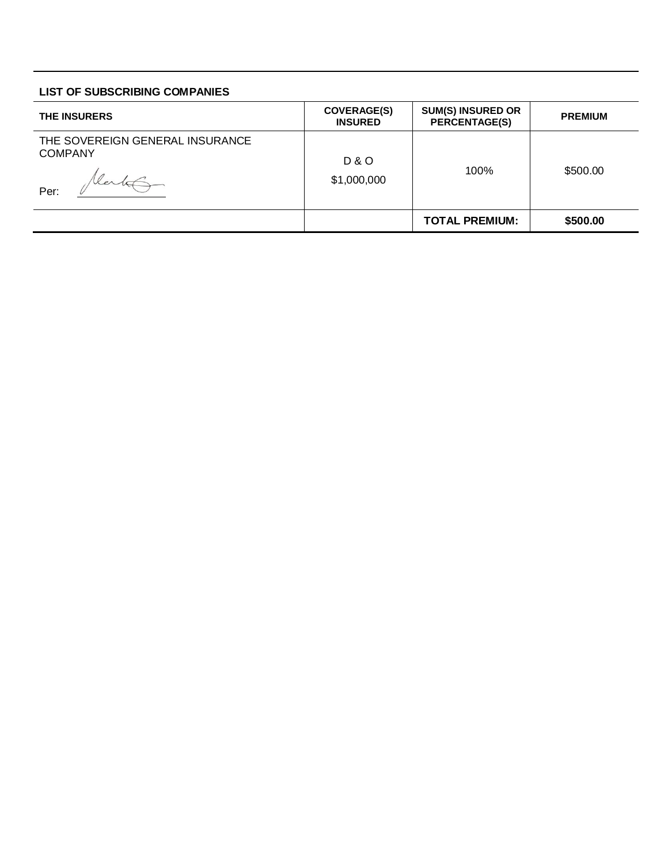### **LIST OF SUBSCRIBING COMPANIES**

| <b>THE INSURERS</b>                                       | <b>COVERAGE(S)</b><br><b>INSURED</b> | <b>SUM(S) INSURED OR</b><br><b>PERCENTAGE(S)</b> | <b>PREMIUM</b> |  |
|-----------------------------------------------------------|--------------------------------------|--------------------------------------------------|----------------|--|
| THE SOVEREIGN GENERAL INSURANCE<br><b>COMPANY</b><br>Per: | <b>D&amp;O</b><br>\$1,000,000        | 100%                                             | \$500.00       |  |
|                                                           |                                      | <b>TOTAL PREMIUM:</b>                            | \$500.00       |  |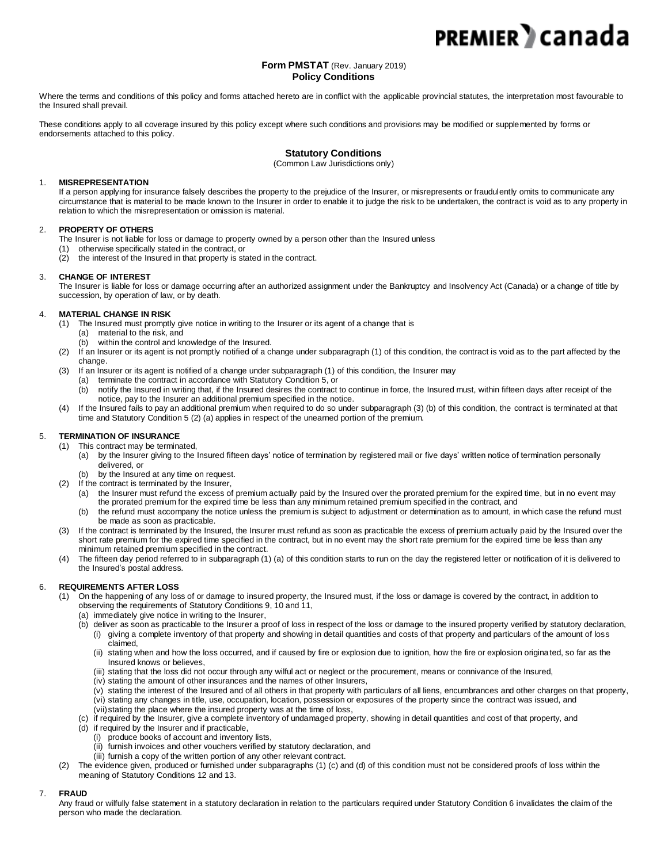#### **Form PMSTAT** (Rev. January 2019) **Policy Conditions**

Where the terms and conditions of this policy and forms attached hereto are in conflict with the applicable provincial statutes, the interpretation most favourable to the Insured shall prevail.

These conditions apply to all coverage insured by this policy except where such conditions and provisions may be modified or supplemented by forms or endorsements attached to this policy.

### **Statutory Conditions**

(Common Law Jurisdictions only)

#### 1. **MISREPRESENTATION**

If a person applying for insurance falsely describes the property to the prejudice of the Insurer, or misrepresents or fraudulently omits to communicate any circumstance that is material to be made known to the Insurer in order to enable it to judge the risk to be undertaken, the contract is void as to any property in relation to which the misrepresentation or omission is material.

#### 2. **PROPERTY OF OTHERS**

The Insurer is not liable for loss or damage to property owned by a person other than the Insured unless

- (1) otherwise specifically stated in the contract, or
- (2) the interest of the Insured in that property is stated in the contract.

#### 3. **CHANGE OF INTEREST**

The Insurer is liable for loss or damage occurring after an authorized assignment under the Bankruptcy and Insolvency Act (Canada) or a change of title by succession, by operation of law, or by death.

#### 4. **MATERIAL CHANGE IN RISK**

- (1) The Insured must promptly give notice in writing to the Insurer or its agent of a change that is (a) material to the risk, and
	- (b) within the control and knowledge of the Insured.
- (2) If an Insurer or its agent is not promptly notified of a change under subparagraph (1) of this condition, the contract is void as to the part affected by the change.
- (3) If an Insurer or its agent is notified of a change under subparagraph (1) of this condition, the Insurer may
	- (a) terminate the contract in accordance with Statutory Condition 5, or
	- (b) notify the Insured in writing that, if the Insured desires the contract to continue in force, the Insured must, within fifteen days after receipt of the notice, pay to the Insurer an additional premium specified in the notice.
- (4) If the Insured fails to pay an additional premium when required to do so under subparagraph (3) (b) of this condition, the contract is terminated at that time and Statutory Condition 5 (2) (a) applies in respect of the unearned portion of the premium.

#### 5. **TERMINATION OF INSURANCE**

- (1) This contract may be terminated,
	- (a) by the Insurer giving to the Insured fifteen days' notice of termination by registered mail or five days' written notice of termination personally delivered, or
	- (b) by the Insured at any time on request.
- (2) If the contract is terminated by the Insurer, (a) the Insurer must refund the excess of premium actually paid by the Insured over the prorated premium for the expired time, but in no event may
	- the prorated premium for the expired time be less than any minimum retained premium specified in the contract, and (b) the refund must accompany the notice unless the premium is subject to adjustment or determination as to amount, in which case the refund must be made as soon as practicable.
- (3) If the contract is terminated by the Insured, the Insurer must refund as soon as practicable the excess of premium actually paid by the Insured over the short rate premium for the expired time specified in the contract, but in no event may the short rate premium for the expired time be less than any minimum retained premium specified in the contract.
- The fifteen day period referred to in subparagraph (1) (a) of this condition starts to run on the day the registered letter or notification of it is delivered to the Insured's postal address.

#### 6. **REQUIREMENTS AFTER LOSS**

- (1) On the happening of any loss of or damage to insured property, the Insured must, if the loss or damage is covered by the contract, in addition to observing the requirements of Statutory Conditions 9, 10 and 11,
	- (a) immediately give notice in writing to the Insurer,
	- (b) deliver as soon as practicable to the Insurer a proof of loss in respect of the loss or damage to the insured property verified by statutory declaration, (i) giving a complete inventory of that property and showing in detail quantities and costs of that property and particulars of the amount of loss claimed,
		- (ii) stating when and how the loss occurred, and if caused by fire or explosion due to ignition, how the fire or explosion originated, so far as the Insured knows or believes,
		- (iii) stating that the loss did not occur through any wilful act or neglect or the procurement, means or connivance of the Insured,
		- (iv) stating the amount of other insurances and the names of other Insurers,
		- (v) stating the interest of the Insured and of all others in that property with particulars of all liens, encumbrances and other charges on that property, (vi) stating any changes in title, use, occupation, location, possession or exposures of the property since the contract was issued, and
		- (vii)stating the place where the insured property was at the time of loss,
	- (c) if required by the Insurer, give a complete inventory of undamaged property, showing in detail quantities and cost of that property, and
	- (d) if required by the Insurer and if practicable,
		- (i) produce books of account and inventory lists,
		- (ii) furnish invoices and other vouchers verified by statutory declaration, and
		- (iii) furnish a copy of the written portion of any other relevant contract.
- (2) The evidence given, produced or furnished under subparagraphs (1) (c) and (d) of this condition must not be considered proofs of loss within the meaning of Statutory Conditions 12 and 13.

#### 7. **FRAUD**

Any fraud or wilfully false statement in a statutory declaration in relation to the particulars required under Statutory Condition 6 invalidates the claim of the person who made the declaration.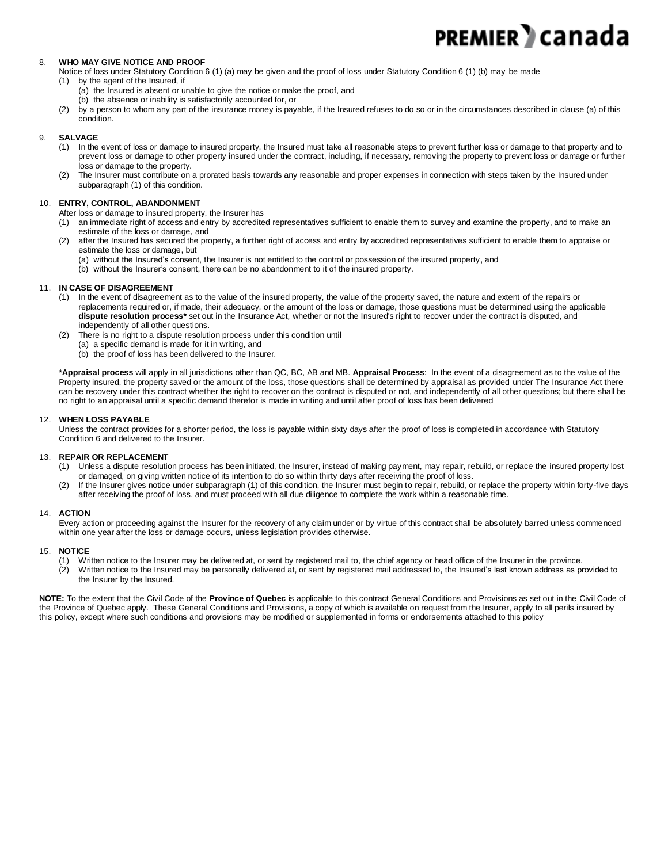#### 8. **WHO MAY GIVE NOTICE AND PROOF**

- Notice of loss under Statutory Condition 6 (1) (a) may be given and the proof of loss under Statutory Condition 6 (1) (b) may be made
- (1) by the agent of the Insured, if
	- (a) the Insured is absent or unable to give the notice or make the proof, and
	- (b) the absence or inability is satisfactorily accounted for, or
- (2) by a person to whom any part of the insurance money is payable, if the Insured refuses to do so or in the circumstances described in clause (a) of this condition.

#### 9. **SALVAGE**

- (1) In the event of loss or damage to insured property, the Insured must take all reasonable steps to prevent further loss or damage to that property and to prevent loss or damage to other property insured under the contract, including, if necessary, removing the property to prevent loss or damage or further loss or damage to the property.
- (2) The Insurer must contribute on a prorated basis towards any reasonable and proper expenses in connection with steps taken by the Insured under subparagraph (1) of this condition.

#### 10. **ENTRY, CONTROL, ABANDONMENT**

- After loss or damage to insured property, the Insurer has
- (1) an immediate right of access and entry by accredited representatives sufficient to enable them to survey and examine the property, and to make an estimate of the loss or damage, and
- (2) after the Insured has secured the property, a further right of access and entry by accredited representatives sufficient to enable them to appraise or estimate the loss or damage, but

(a) without the Insured's consent, the Insurer is not entitled to the control or possession of the insured property, and

(b) without the Insurer's consent, there can be no abandonment to it of the insured property.

#### 11. **IN CASE OF DISAGREEMENT**

- (1) In the event of disagreement as to the value of the insured property, the value of the property saved, the nature and extent of the repairs or replacements required or, if made, their adequacy, or the amount of the loss or damage, those questions must be determined using the applicable **dispute resolution process\*** set out in the Insurance Act*,* whether or not the Insured's right to recover under the contract is disputed, and independently of all other questions.
- (2) There is no right to a dispute resolution process under this condition until
	- (a) a specific demand is made for it in writing, and
	- (b) the proof of loss has been delivered to the Insurer.

**\*Appraisal process** will apply in all jurisdictions other than QC, BC, AB and MB. **Appraisal Process**: In the event of a disagreement as to the value of the Property insured, the property saved or the amount of the loss, those questions shall be determined by appraisal as provided under The Insurance Act there can be recovery under this contract whether the right to recover on the contract is disputed or not, and independently of all other questions; but there shall be no right to an appraisal until a specific demand therefor is made in writing and until after proof of loss has been delivered

#### 12. **WHEN LOSS PAYABLE**

Unless the contract provides for a shorter period, the loss is payable within sixty days after the proof of loss is completed in accordance with Statutory Condition 6 and delivered to the Insurer.

#### 13. **REPAIR OR REPLACEMENT**

- (1) Unless a dispute resolution process has been initiated, the Insurer, instead of making payment, may repair, rebuild, or replace the insured property lost or damaged, on giving written notice of its intention to do so within thirty days after receiving the proof of loss.
- (2) If the Insurer gives notice under subparagraph (1) of this condition, the Insurer must begin to repair, rebuild, or replace the property within forty-five days after receiving the proof of loss, and must proceed with all due diligence to complete the work within a reasonable time.

#### 14. **ACTION**

Every action or proceeding against the Insurer for the recovery of any claim under or by virtue of this contract shall be absolutely barred unless commenced within one year after the loss or damage occurs, unless legislation provides otherwise.

#### 15. **NOTICE**

- (1) Written notice to the Insurer may be delivered at, or sent by registered mail to, the chief agency or head office of the Insurer in the province.
- (2) Written notice to the Insured may be personally delivered at, or sent by registered mail addressed to, the Insured's last known address as provided to the Insurer by the Insured.

**NOTE:** To the extent that the Civil Code of the **Province of Quebec** is applicable to this contract General Conditions and Provisions as set out in the Civil Code of the Province of Quebec apply. These General Conditions and Provisions, a copy of which is available on request from the Insurer, apply to all perils insured by this policy, except where such conditions and provisions may be modified or supplemented in forms or endorsements attached to this policy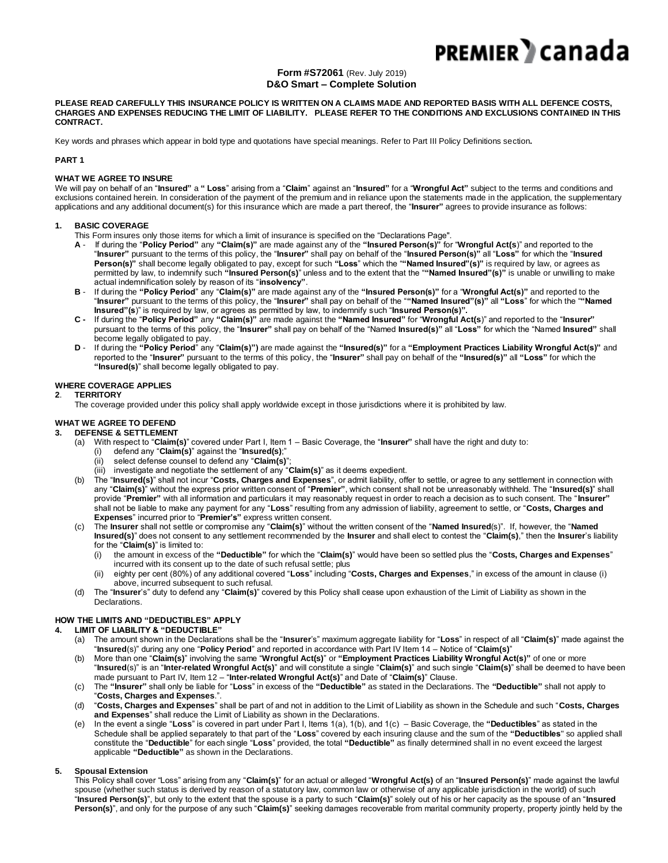#### **Form #S72061** (Rev. July 2019) **D&O Smart – Complete Solution**

**PLEASE READ CAREFULLY THIS INSURANCE POLICY IS WRITTEN ON A CLAIMS MADE AND REPORTED BASIS WITH ALL DEFENCE COSTS, CHARGES AND EXPENSES REDUCING THE LIMIT OF LIABILITY. PLEASE REFER TO THE CONDITIONS AND EXCLUSIONS CONTAINED IN THIS CONTRACT.**

Key words and phrases which appear in bold type and quotations have special meanings. Refer to Part III Policy Definitions section**.** 

#### **PART 1**

#### **WHAT WE AGREE TO INSURE**

We will pay on behalf of an "**Insured"** a **" Loss**" arising from a "**Claim**" against an "**Insured"** for a "**Wrongful Act"** subject to the terms and conditions and exclusions contained herein. In consideration of the payment of the premium and in reliance upon the statements made in the application, the supplementary applications and any additional document(s) for this insurance which are made a part thereof, the "**Insurer"** agrees to provide insurance as follows:

#### **1. BASIC COVERAGE**

This Form insures only those items for which a limit of insurance is specified on the "Declarations Page".

- **A** If during the "**Policy Period"** any **"Claim(s)"** are made against any of the **"Insured Person(s)"** for "**Wrongful Act(s**)" and reported to the "**Insurer"** pursuant to the terms of this policy, the "**Insurer"** shall pay on behalf of the "**Insured Person(s)"** all "**Loss"** for which the "**Insured Person(s)"** shall become legally obligated to pay, except for such **"Loss**" which the "**"Named Insured"(s)"** is required by law, or agrees as permitted by law, to indemnify such **"Insured Person(s)**" unless and to the extent that the "**"Named Insured"(s)"** is unable or unwilling to make actual indemnification solely by reason of its "**insolvency"**.
- **B** If during the **"Policy Period**" any "**Claim(s)"** are made against any of the **"Insured Person(s)"** for a "**Wrongful Act(s)"** and reported to the "**Insurer"** pursuant to the terms of this policy, the "**Insurer"** shall pay on behalf of the "**"Named Insured"(s)"** all **"Loss**" for which the "**"Named Insured"(s**)" is required by law, or agrees as permitted by law, to indemnify such "**Insured Person(s)".**
- **C -** If during the "**Policy Period"** any **"Claim(s)"** are made against the **"Named Insured"** for "**Wrongful Act(s**)" and reported to the "**Insurer"**  pursuant to the terms of this policy, the "**Insurer"** shall pay on behalf of the "Named **Insured(s)"** all "**Loss"** for which the "Named **Insured"** shall become legally obligated to pay.
- **D** If during the **"Policy Period**" any "**Claim(s)")** are made against the **"Insured(s)"** for a **"Employment Practices Liability Wrongful Act(s)"** and reported to the "**Insurer"** pursuant to the terms of this policy, the "**Insurer"** shall pay on behalf of the **"Insured(s)"** all **"Loss"** for which the **"Insured(s)**" shall become legally obligated to pay.

#### **WHERE COVERAGE APPLIES**

**2**. **TERRITORY**

The coverage provided under this policy shall apply worldwide except in those jurisdictions where it is prohibited by law.

#### **WHAT WE AGREE TO DEFEND**

#### **3. DEFENSE & SETTLEMENT**

- (a) With respect to "**Claim(s)**" covered under Part I, Item 1 Basic Coverage, the "**Insurer"** shall have the right and duty to:
	- (i) defend any "**Claim(s)**" against the "**Insured(s)**;"
	- (ii) select defense counsel to defend any "**Claim(s)**";
	- (iii) investigate and negotiate the settlement of any "**Claim(s)**" as it deems expedient.
- (b) The "**Insured(s)**" shall not incur "**Costs, Charges and Expenses**", or admit liability, offer to settle, or agree to any settlement in connection with any "**Claim(s)**" without the express prior written consent of "**Premier"**, which consent shall not be unreasonably withheld. The "**Insured(s)**" shall provide "**Premier"** with all information and particulars it may reasonably request in order to reach a decision as to such consent. The "**Insurer"** shall not be liable to make any payment for any "**Loss**" resulting from any admission of liability, agreement to settle, or "**Costs, Charges and Expenses**" incurred prior to "**Premier's"** express written consent.
- (c) The **Insurer** shall not settle or compromise any "**Claim(s)**" without the written consent of the "**Named Insured**(s)". If, however, the "**Named Insured(s)**" does not consent to any settlement recommended by the **Insurer** and shall elect to contest the "**Claim(s)**," then the **Insurer**'s liability for the "**Claim(s)**" is limited to:
	- (i) the amount in excess of the **"Deductible"** for which the "**Claim(s)**" would have been so settled plus the "**Costs, Charges and Expenses**" incurred with its consent up to the date of such refusal settle; plus
	- (ii) eighty per cent (80%) of any additional covered "**Loss**" including "**Costs, Charges and Expenses**," in excess of the amount in clause (i) above, incurred subsequent to such refusal.
- (d) The "**Insurer**'s" duty to defend any "**Claim(s)**" covered by this Policy shall cease upon exhaustion of the Limit of Liability as shown in the Declarations.

#### **HOW THE LIMITS AND "DEDUCTIBLES" APPLY**

**4. LIMIT OF LIABILITY & "DEDUCTIBLE"**

- (a) The amount shown in the Declarations shall be the "**Insurer**'s" maximum aggregate liability for "**Loss**" in respect of all "**Claim(s)**" made against the "**Insured**(s)" during any one "**Policy Period**" and reported in accordance with Part IV Item 14 – Notice of "**Claim(s)**"
- (b) More than one "**Claim(s)**" involving the same "**Wrongful Act(s)**" or **"Employment Practices Liability Wrongful Act(s)"** of one or more "**Insured**(s)" is an "**Inter-related Wrongful Act(s)**" and will constitute a single "**Claim(s)**" and such single "**Claim(s)**" shall be deemed to have been made pursuant to Part IV, Item 12 – "**Inter-related Wrongful Act(s)**" and Date of "**Claim(s)**" Clause.
- (c) The **"Insurer"** shall only be liable for "**Loss**" in excess of the **"Deductible"** as stated in the Declarations. The **"Deductible"** shall not apply to "**Costs, Charges and Expenses**.".
- (d) "**Costs, Charges and Expenses**" shall be part of and not in addition to the Limit of Liability as shown in the Schedule and such "**Costs, Charges and Expenses**" shall reduce the Limit of Liability as shown in the Declarations.
- (e) In the event a single "**Loss**" is covered in part under Part I, Items 1(a), 1(b), and 1(c) Basic Coverage, the **"Deductibles**" as stated in the Schedule shall be applied separately to that part of the "**Loss**" covered by each insuring clause and the sum of the **"Deductibles**" so applied shall constitute the "**Deductible**" for each single "**Loss**" provided, the total **"Deductible"** as finally determined shall in no event exceed the largest applicable **"Deductible"** as shown in the Declarations.

#### **5. Spousal Extension**

This Policy shall cover "Loss" arising from any "**Claim(s)**" for an actual or alleged "**Wrongful Act(s)** of an "**Insured Person(s)**" made against the lawful spouse (whether such status is derived by reason of a statutory law, common law or otherwise of any applicable jurisdiction in the world) of such "**Insured Person(s)**", but only to the extent that the spouse is a party to such "**Claim(s)**" solely out of his or her capacity as the spouse of an "**Insured Person(s)**", and only for the purpose of any such "**Claim(s)**" seeking damages recoverable from marital community property, property jointly held by the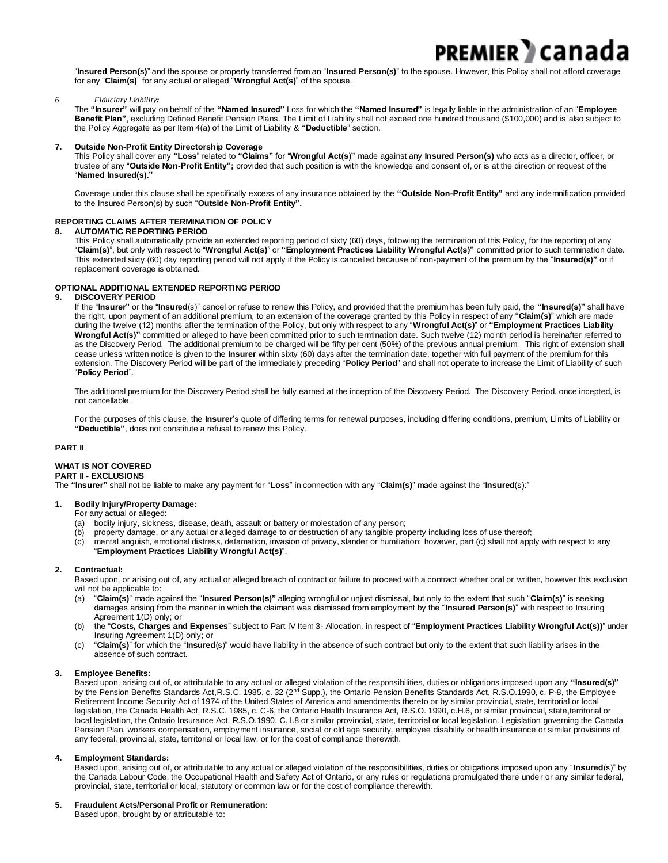"**Insured Person(s)**" and the spouse or property transferred from an "**Insured Person(s)**" to the spouse. However, this Policy shall not afford coverage for any "**Claim(s)**" for any actual or alleged "**Wrongful Act(s)**" of the spouse.

PREMIER **»** canada

#### *6. Fiduciary Liability:*

The **"Insurer"** will pay on behalf of the **"Named Insured"** Loss for which the **"Named Insured"** is legally liable in the administration of an "**Employee Benefit Plan"**, excluding Defined Benefit Pension Plans. The Limit of Liability shall not exceed one hundred thousand (\$100,000) and is also subject to the Policy Aggregate as per Item 4(a) of the Limit of Liability & **"Deductible**" section.

#### **7. Outside Non-Profit Entity Directorship Coverage**

This Policy shall cover any **"Loss**" related to **"Claims"** for "**Wrongful Act(s)"** made against any **Insured Person(s)** who acts as a director, officer, or trustee of any "**Outside Non-Profit Entity";** provided that such position is with the knowledge and consent of, or is at the direction or request of the "**Named Insured(s)."**

Coverage under this clause shall be specifically excess of any insurance obtained by the **"Outside Non-Profit Entity"** and any indemnification provided to the Insured Person(s) by such "**Outside Non-Profit Entity".**

#### **REPORTING CLAIMS AFTER TERMINATION OF POLICY**

#### **8. AUTOMATIC REPORTING PERIOD**

This Policy shall automatically provide an extended reporting period of sixty (60) days, following the termination of this Policy, for the reporting of any "**Claim(s)**", but only with respect to "**Wrongful Act(s)**" or **"Employment Practices Liability Wrongful Act(s)"** committed prior to such termination date. This extended sixty (60) day reporting period will not apply if the Policy is cancelled because of non-payment of the premium by the "**Insured(s)"** or if replacement coverage is obtained.

#### **OPTIONAL ADDITIONAL EXTENDED REPORTING PERIOD**

#### **9. DISCOVERY PERIOD**

If the "**Insurer"** or the "**Insured**(s)" cancel or refuse to renew this Policy, and provided that the premium has been fully paid, the **"Insured(s)"** shall have the right, upon payment of an additional premium, to an extension of the coverage granted by this Policy in respect of any "**Claim(s)**" which are made during the twelve (12) months after the termination of the Policy, but only with respect to any "**Wrongful Act(s)**" or **"Employment Practices Liability Wrongful Act(s)"** committed or alleged to have been committed prior to such termination date. Such twelve (12) month period is hereinafter referred to as the Discovery Period. The additional premium to be charged will be fifty per cent (50%) of the previous annual premium. This right of extension shall cease unless written notice is given to the **Insurer** within sixty (60) days after the termination date, together with full payment of the premium for this extension. The Discovery Period will be part of the immediately preceding "**Policy Period**" and shall not operate to increase the Limit of Liability of such "**Policy Period**".

The additional premium for the Discovery Period shall be fully earned at the inception of the Discovery Period. The Discovery Period, once incepted, is not cancellable.

For the purposes of this clause, the **Insurer**'s quote of differing terms for renewal purposes, including differing conditions, premium, Limits of Liability or **"Deductible"**, does not constitute a refusal to renew this Policy.

#### **PART II**

#### **WHAT IS NOT COVERED**

#### **PART II - EXCLUSIONS**

The **"Insurer"** shall not be liable to make any payment for "**Loss**" in connection with any "**Claim(s)**" made against the "**Insured**(s):"

#### **1. Bodily Injury/Property Damage:**

#### For any actual or alleged:

- (a) bodily injury, sickness, disease, death, assault or battery or molestation of any person;
- (b) property damage, or any actual or alleged damage to or destruction of any tangible property including loss of use thereof;
- (c) mental anguish, emotional distress, defamation, invasion of privacy, slander or humiliation; however, part (c) shall not apply with respect to any "**Employment Practices Liability Wrongful Act(s)**".

#### **2. Contractual:**

Based upon, or arising out of, any actual or alleged breach of contract or failure to proceed with a contract whether oral or written, however this exclusion will not be applicable to:

- (a) "**Claim(s)**" made against the "**Insured Person(s)"** alleging wrongful or unjust dismissal, but only to the extent that such "**Claim(s)**" is seeking damages arising from the manner in which the claimant was dismissed from employment by the "**Insured Person(s)**" with respect to Insuring Agreement 1(D) only; or
- (b) the "**Costs, Charges and Expenses**" subject to Part IV Item 3- Allocation, in respect of "**Employment Practices Liability Wrongful Act(s))**" under Insuring Agreement 1(D) only; or
- (c) "**Claim(s)**" for which the "**Insured**(s)" would have liability in the absence of such contract but only to the extent that such liability arises in the absence of such contract.

#### **3. Employee Benefits:**

Based upon, arising out of, or attributable to any actual or alleged violation of the responsibilities, duties or obligations imposed upon any **"Insured(s)"** by the Pension Benefits Standards Act,R.S.C. 1985, c. 32 (2<sup>nd</sup> Supp.), the Ontario Pension Benefits Standards Act, R.S.O.1990, c. P-8, the Employee Retirement Income Security Act of 1974 of the United States of America and amendments thereto or by similar provincial, state, territorial or local legislation, the Canada Health Act, R.S.C. 1985, c. C-6, the Ontario Health Insurance Act, R.S.O. 1990, c.H.6, or similar provincial, state,territorial or local legislation, the Ontario Insurance Act, R.S.O.1990, C. I.8 or similar provincial, state, territorial or local legislation. Legislation governing the Canada Pension Plan, workers compensation, employment insurance, social or old age security, employee disability or health insurance or similar provisions of any federal, provincial, state, territorial or local law, or for the cost of compliance therewith.

#### **4. Employment Standards:**

Based upon, arising out of, or attributable to any actual or alleged violation of the responsibilities, duties or obligations imposed upon any "**Insured**(s)" by the Canada Labour Code, the Occupational Health and Safety Act of Ontario, or any rules or regulations promulgated there under or any similar federal, provincial, state, territorial or local, statutory or common law or for the cost of compliance therewith.

#### **5. Fraudulent Acts/Personal Profit or Remuneration:**

Based upon, brought by or attributable to: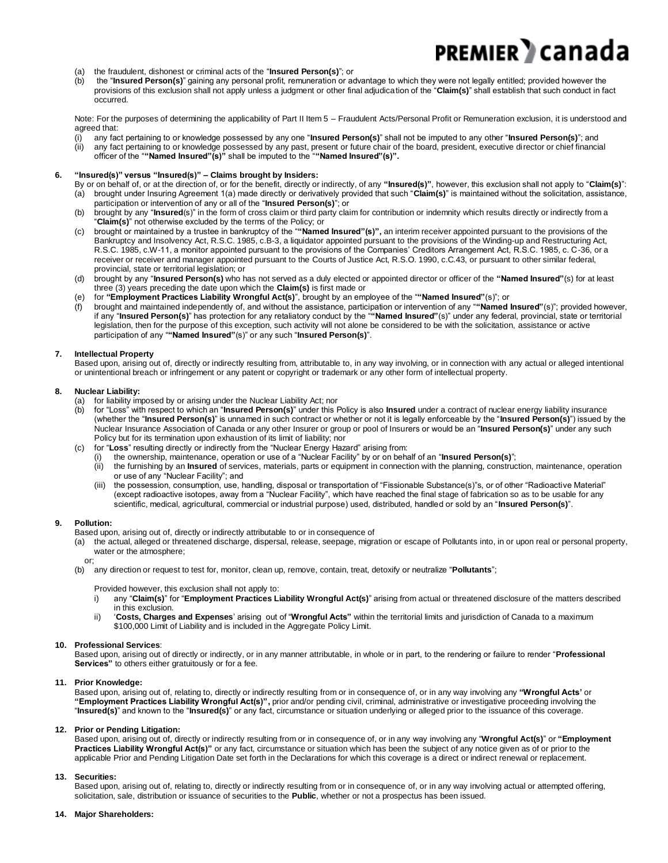- (a) the fraudulent, dishonest or criminal acts of the "**Insured Person(s)**"; or
- (b) the "**Insured Person(s)**" gaining any personal profit, remuneration or advantage to which they were not legally entitled; provided however the provisions of this exclusion shall not apply unless a judgment or other final adjudication of the "**Claim(s)**" shall establish that such conduct in fact occurred.

Note: For the purposes of determining the applicability of Part II Item 5 – Fraudulent Acts/Personal Profit or Remuneration exclusion, it is understood and agreed that:

(i) any fact pertaining to or knowledge possessed by any one "**Insured Person(s)**" shall not be imputed to any other "**Insured Person(s)**"; and (ii) any fact pertaining to or knowledge possessed by any past, present or future chair of the board, president, executive director or chief financial officer of the "**"Named Insured"(s)"** shall be imputed to the "**"Named Insured"(s)".**

#### **6. "Insured(s)" versus "Insured(s)" – Claims brought by Insiders:**

By or on behalf of, or at the direction of, or for the benefit, directly or indirectly, of any **"Insured(s)"**, however, this exclusion shall not apply to "**Claim(s)**": (a) brought under Insuring Agreement 1(a) made directly or derivatively provided that such "**Claim(s)**" is maintained without the solicitation, assistance,

- participation or intervention of any or all of the "**Insured Person(s)**"; or (b) brought by any "**Insured**(s)" in the form of cross claim or third party claim for contribution or indemnity which results directly or indirectly from a "**Claim(s)**" not otherwise excluded by the terms of the Policy; or
- (c) brought or maintained by a trustee in bankruptcy of the "**"Named Insured"(s)",** an interim receiver appointed pursuant to the provisions of the Bankruptcy and Insolvency Act, R.S.C. 1985, c.B-3, a liquidator appointed pursuant to the provisions of the Winding-up and Restructuring Act, R.S.C. 1985, c.W-11, a monitor appointed pursuant to the provisions of the Companies' Creditors Arrangement Act, R.S.C. 1985, c. C-36, or a receiver or receiver and manager appointed pursuant to the Courts of Justice Act, R.S.O. 1990, c.C.43, or pursuant to other similar federal, provincial, state or territorial legislation; or
- (d) brought by any "**Insured Person(s)** who has not served as a duly elected or appointed director or officer of the **"Named Insured"**(s) for at least three (3) years preceding the date upon which the **Claim(s)** is first made or
- (e) for **"Employment Practices Liability Wrongful Act(s)**", brought by an employee of the "**"Named Insured"**(s)"; or
- (f) brought and maintained independently of, and without the assistance, participation or intervention of any "**"Named Insured"**(s)"; provided however, if any "**Insured Person(s)**" has protection for any retaliatory conduct by the "**"Named Insured"**(s)" under any federal, provincial, state or territorial legislation, then for the purpose of this exception, such activity will not alone be considered to be with the solicitation, assistance or active participation of any "**"Named Insured"**(s)" or any such "**Insured Person(s)**".

#### **7. Intellectual Property**

Based upon, arising out of, directly or indirectly resulting from, attributable to, in any way involving, or in connection with any actual or alleged intentional or unintentional breach or infringement or any patent or copyright or trademark or any other form of intellectual property.

#### **8. Nuclear Liability:**

- (a) for liability imposed by or arising under the Nuclear Liability Act; nor
- (b) for "Loss" with respect to which an "**Insured Person(s)**" under this Policy is also **Insured** under a contract of nuclear energy liability insurance (whether the "**Insured Person(s)**" is unnamed in such contract or whether or not it is legally enforceable by the "**Insured Person(s)**") issued by the Nuclear Insurance Association of Canada or any other Insurer or group or pool of Insurers or would be an "**Insured Person(s)**" under any such Policy but for its termination upon exhaustion of its limit of liability; nor
- (c) for "**Loss**" resulting directly or indirectly from the "Nuclear Energy Hazard" arising from:
	- (i) the ownership, maintenance, operation or use of a "Nuclear Facility" by or on behalf of an "**Insured Person(s)**";
	- the furnishing by an *Insured* of services, materials, parts or equipment in connection with the planning, construction, maintenance, operation or use of any "Nuclear Facility"; and
	- (iii) the possession, consumption, use, handling, disposal or transportation of "Fissionable Substance(s)"s, or of other "Radioactive Material" (except radioactive isotopes, away from a "Nuclear Facility", which have reached the final stage of fabrication so as to be usable for any scientific, medical, agricultural, commercial or industrial purpose) used, distributed, handled or sold by an "**Insured Person(s)**".

#### **9. Pollution:**

- Based upon, arising out of, directly or indirectly attributable to or in consequence of
- (a) the actual, alleged or threatened discharge, dispersal, release, seepage, migration or escape of Pollutants into, in or upon real or personal property, water or the atmosphere;

#### or;

(b) any direction or request to test for, monitor, clean up, remove, contain, treat, detoxify or neutralize "**Pollutants**";

Provided however, this exclusion shall not apply to:

- i) any "**Claim(s)**" for "**Employment Practices Liability Wrongful Act(s)**" arising from actual or threatened disclosure of the matters described in this exclusion.
- ii) '**Costs, Charges and Expenses**' arising out of "**Wrongful Acts"** within the territorial limits and jurisdiction of Canada to a maximum \$100,000 Limit of Liability and is included in the Aggregate Policy Limit.

#### **10. Professional Services**:

Based upon, arising out of directly or indirectly, or in any manner attributable, in whole or in part, to the rendering or failure to render "**Professional Services"** to others either gratuitously or for a fee.

#### **11. Prior Knowledge:**

Based upon, arising out of, relating to, directly or indirectly resulting from or in consequence of, or in any way involving any **"Wrongful Acts'** or **"Employment Practices Liability Wrongful Act(s)",** prior and/or pending civil, criminal, administrative or investigative proceeding involving the "**Insured(s)**" and known to the "**Insured(s)**" or any fact, circumstance or situation underlying or alleged prior to the issuance of this coverage.

#### **12. Prior or Pending Litigation:**

Based upon, arising out of, directly or indirectly resulting from or in consequence of, or in any way involving any "**Wrongful Act(s)**" or **"Employment Practices Liability Wrongful Act(s)"** or any fact, circumstance or situation which has been the subject of any notice given as of or prior to the applicable Prior and Pending Litigation Date set forth in the Declarations for which this coverage is a direct or indirect renewal or replacement.

#### **13. Securities:**

Based upon, arising out of, relating to, directly or indirectly resulting from or in consequence of, or in any way involving actual or attempted offering, solicitation, sale, distribution or issuance of securities to the **Public**, whether or not a prospectus has been issued.

#### **14. Major Shareholders:**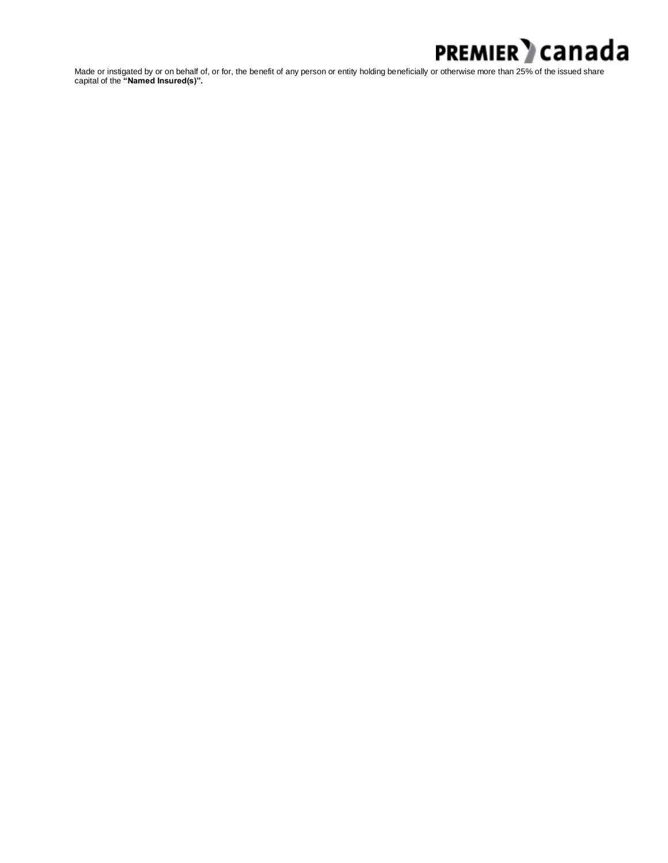

Made or instigated by or on behalf of, or for, the benefit of any person or entity holding beneficially or otherwise more than 25% of the issued share capital of the **"Named Insured(s)".**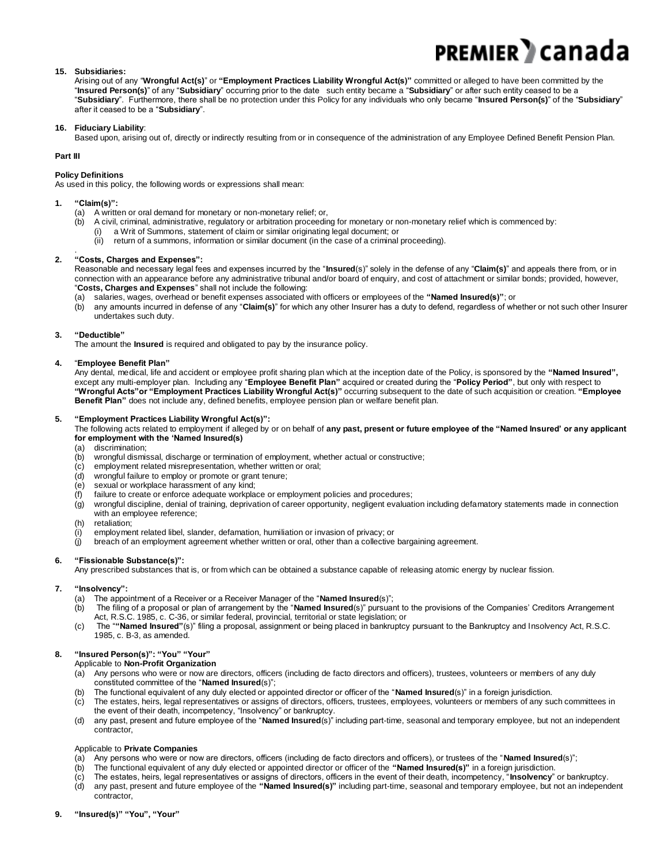# PREMIER DCanada

#### **15. Subsidiaries:**

Arising out of any "**Wrongful Act(s)**" or **"Employment Practices Liability Wrongful Act(s)"** committed or alleged to have been committed by the "**Insured Person(s)**" of any "**Subsidiary**" occurring prior to the date such entity became a "**Subsidiary**" or after such entity ceased to be a "**Subsidiary**". Furthermore, there shall be no protection under this Policy for any individuals who only became "**Insured Person(s)**" of the "**Subsidiary**" after it ceased to be a "**Subsidiary**".

#### **16. Fiduciary Liability**:

Based upon, arising out of, directly or indirectly resulting from or in consequence of the administration of any Employee Defined Benefit Pension Plan.

#### **Part III**

#### **Policy Definitions**

As used in this policy, the following words or expressions shall mean:

#### **1. "Claim(s)":**

- (a) A written or oral demand for monetary or non-monetary relief; or,<br>(b) A civil, criminal, administrative, regulatory or arbitration proceedin
	- A civil, criminal, administrative, regulatory or arbitration proceeding for monetary or non-monetary relief which is commenced by:
		- a Writ of Summons, statement of claim or similar originating legal document; or
		- (ii) return of a summons, information or similar document (in the case of a criminal proceeding).

#### . **2. "Costs, Charges and Expenses":**

Reasonable and necessary legal fees and expenses incurred by the "**Insured**(s)" solely in the defense of any "**Claim(s)**" and appeals there from, or in connection with an appearance before any administrative tribunal and/or board of enquiry, and cost of attachment or similar bonds; provided, however, "**Costs, Charges and Expenses**" shall not include the following:

(a) salaries, wages, overhead or benefit expenses associated with officers or employees of the **"Named Insured(s)"**; or

(b) any amounts incurred in defense of any "**Claim(s)**" for which any other Insurer has a duty to defend, regardless of whether or not such other Insurer undertakes such duty.

#### **3. "Deductible"**

The amount the **Insured** is required and obligated to pay by the insurance policy.

#### **4.** "**Employee Benefit Plan"**

Any dental, medical, life and accident or employee profit sharing plan which at the inception date of the Policy, is sponsored by the **"Named Insured",**  except any multi-employer plan. Including any "**Employee Benefit Plan"** acquired or created during the "**Policy Period"**, but only with respect to **"Wrongful Acts"or "Employment Practices Liability Wrongful Act(s)"** occurring subsequent to the date of such acquisition or creation. **"Employee Benefit Plan"** does not include any, defined benefits, employee pension plan or welfare benefit plan.

#### **5. "Employment Practices Liability Wrongful Act(s)":**

The following acts related to employment if alleged by or on behalf of **any past, present or future employee of the "Named Insured' or any applicant for employment with the 'Named Insured(s)**

- (a) discrimination;
- (b) wrongful dismissal, discharge or termination of employment, whether actual or constructive;
- employment related misrepresentation, whether written or oral;
- (d) wrongful failure to employ or promote or grant tenure;
- (e) sexual or workplace harassment of any kind;
- (f) failure to create or enforce adequate workplace or employment policies and procedures;
- (g) wrongful discipline, denial of training, deprivation of career opportunity, negligent evaluation including defamatory statements made in connection with an employee reference;
- (h) retaliation;
- (i) employment related libel, slander, defamation, humiliation or invasion of privacy; or
- (j) breach of an employment agreement whether written or oral, other than a collective bargaining agreement.

#### **6. "Fissionable Substance(s)":**

Any prescribed substances that is, or from which can be obtained a substance capable of releasing atomic energy by nuclear fission.

#### **7. "Insolvency":**

- (a) The appointment of a Receiver or a Receiver Manager of the "**Named Insured**(s)";
- (b) The filing of a proposal or plan of arrangement by the "**Named Insured**(s)" pursuant to the provisions of the Companies' Creditors Arrangement Act, R.S.C. 1985, c. C-36, or similar federal, provincial, territorial or state legislation; or
- (c) The "**"Named Insured"**(s)" filing a proposal, assignment or being placed in bankruptcy pursuant to the Bankruptcy and Insolvency Act, R.S.C. 1985, c. B-3, as amended.

#### **8. "Insured Person(s)": "You" "Your"**

Applicable to **Non-Profit Organization**

- (a) Any persons who were or now are directors, officers (including de facto directors and officers), trustees, volunteers or members of any duly constituted committee of the "**Named Insured**(s)";
- (b) The functional equivalent of any duly elected or appointed director or officer of the "**Named Insured**(s)" in a foreign jurisdiction.
- (c) The estates, heirs, legal representatives or assigns of directors, officers, trustees, employees, volunteers or members of any such committees in the event of their death, incompetency, "Insolvency" or bankruptcy.
- (d) any past, present and future employee of the "**Named Insured**(s)" including part-time, seasonal and temporary employee, but not an independent contractor,

#### Applicable to **Private Companies**

- (a) Any persons who were or now are directors, officers (including de facto directors and officers), or trustees of the "**Named Insured**(s)";
- (b) The functional equivalent of any duly elected or appointed director or officer of the **"Named Insured(s)"** in a foreign jurisdiction.
- (c) The estates, heirs, legal representatives or assigns of directors, officers in the event of their death, incompetency, "**Insolvency**" or bankruptcy.
- (d) any past, present and future employee of the **"Named Insured(s)"** including part-time, seasonal and temporary employee, but not an independent contractor,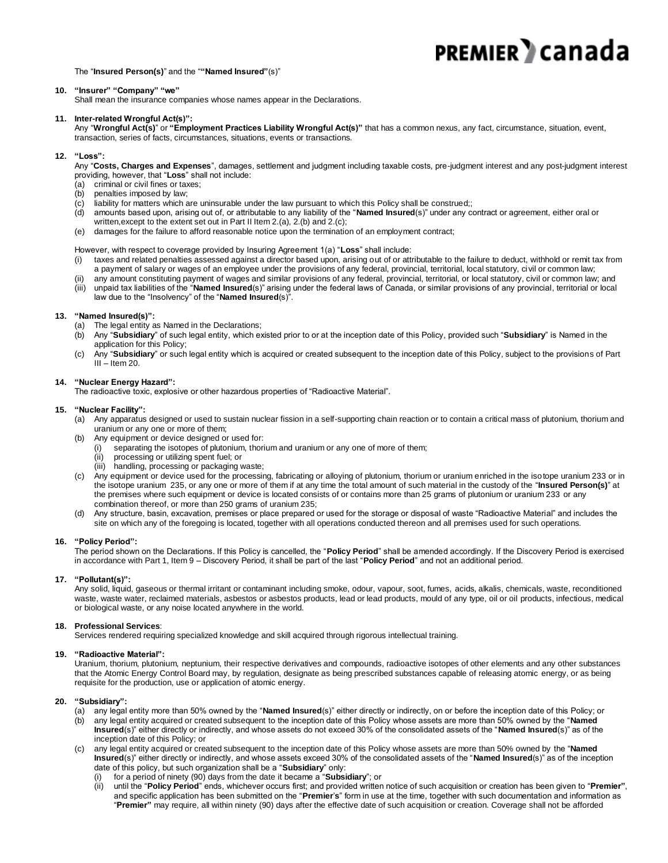The "**Insured Person(s)**" and the "**"Named Insured"**(s)"

#### **10. "Insurer" "Company" "we"**

Shall mean the insurance companies whose names appear in the Declarations.

#### **11. Inter-related Wrongful Act(s)":**

Any "**Wrongful Act(s)**" or **"Employment Practices Liability Wrongful Act(s)"** that has a common nexus, any fact, circumstance, situation, event, transaction, series of facts, circumstances, situations, events or transactions.

#### **12. "Loss":**

Any "**Costs, Charges and Expenses**", damages, settlement and judgment including taxable costs, pre-judgment interest and any post-judgment interest providing, however, that "**Loss**" shall not include:

- (a) criminal or civil fines or taxes;
- (b) penalties imposed by law;
- (c) liability for matters which are uninsurable under the law pursuant to which this Policy shall be construed;;
- (d) amounts based upon, arising out of, or attributable to any liability of the "**Named Insured**(s)" under any contract or agreement, either oral or
	- written, except to the extent set out in Part II Item 2.(a), 2.(b) and 2.(c);
- (e) damages for the failure to afford reasonable notice upon the termination of an employment contract;

However, with respect to coverage provided by Insuring Agreement 1(a) "**Loss**" shall include:

- (i) taxes and related penalties assessed against a director based upon, arising out of or attributable to the failure to deduct, withhold or remit tax from a payment of salary or wages of an employee under the provisions of any federal, provincial, territorial, local statutory, ci vil or common law;
	- any amount constituting payment of wages and similar provisions of any federal, provincial, territorial, or local statutory, civil or common law; and
- (iii) unpaid tax liabilities of the "**Named Insured**(s)" arising under the federal laws of Canada, or similar provisions of any provincial, territorial or local law due to the "Insolvency" of the "**Named Insured**(s)".

#### **13. "Named Insured(s)":**

- (a) The legal entity as Named in the Declarations;
- (b) Any "**Subsidiary**" of such legal entity, which existed prior to or at the inception date of this Policy, provided such "**Subsidiary**" is Named in the application for this Policy;
- (c) Any "**Subsidiary**" or such legal entity which is acquired or created subsequent to the inception date of this Policy, subject to the provisions of Part  $III -$ Item 20.

#### **14. "Nuclear Energy Hazard":**

The radioactive toxic, explosive or other hazardous properties of "Radioactive Material".

#### **15. "Nuclear Facility":**

- (a) Any apparatus designed or used to sustain nuclear fission in a self-supporting chain reaction or to contain a critical mass of plutonium, thorium and uranium or any one or more of them;
- (b) Any equipment or device designed or used for:
	- (i) separating the isotopes of plutonium, thorium and uranium or any one of more of them;
	- (ii) processing or utilizing spent fuel; or
	- (iii) handling, processing or packaging waste;
- (c) Any equipment or device used for the processing, fabricating or alloying of plutonium, thorium or uranium enriched in the isotope uranium 233 or in the isotope uranium 235, or any one or more of them if at any time the total amount of such material in the custody of the "**Insured Person(s)**" at the premises where such equipment or device is located consists of or contains more than 25 grams of plutonium or uranium 233 or any combination thereof, or more than 250 grams of uranium 235;
- (d) Any structure, basin, excavation, premises or place prepared or used for the storage or disposal of waste "Radioactive Material" and includes the site on which any of the foregoing is located, together with all operations conducted thereon and all premises used for such operations.

#### **16. "Policy Period":**

The period shown on the Declarations. If this Policy is cancelled, the "**Policy Period**" shall be amended accordingly. If the Discovery Period is exercised in accordance with Part 1, Item 9 – Discovery Period, it shall be part of the last "**Policy Period**" and not an additional period.

#### **17. "Pollutant(s)":**

Any solid, liquid, gaseous or thermal irritant or contaminant including smoke, odour, vapour, soot, fumes, acids, alkalis, chemicals, waste, reconditioned waste, waste water, reclaimed materials, asbestos or asbestos products, lead or lead products, mould of any type, oil or oil products, infectious, medical or biological waste, or any noise located anywhere in the world.

#### **18. Professional Services**:

Services rendered requiring specialized knowledge and skill acquired through rigorous intellectual training.

#### **19. "Radioactive Material":**

Uranium, thorium, plutonium, neptunium, their respective derivatives and compounds, radioactive isotopes of other elements and any other substances that the Atomic Energy Control Board may, by regulation, designate as being prescribed substances capable of releasing atomic energy, or as being requisite for the production, use or application of atomic energy.

#### **20. "Subsidiary":**

- (a) any legal entity more than 50% owned by the "**Named Insured**(s)" either directly or indirectly, on or before the inception date of this Policy; or
- (b) any legal entity acquired or created subsequent to the inception date of this Policy whose assets are more than 50% owned by the "**Named Insured**(s)" either directly or indirectly, and whose assets do not exceed 30% of the consolidated assets of the "**Named Insured**(s)" as of the inception date of this Policy; or
- (c) any legal entity acquired or created subsequent to the inception date of this Policy whose assets are more than 50% owned by the "**Named Insured**(s)" either directly or indirectly, and whose assets exceed 30% of the consolidated assets of the "**Named Insured**(s)" as of the inception date of this policy, but such organization shall be a "**Subsidiary**" only:
	- (i) for a period of ninety (90) days from the date it became a "**Subsidiary**"; or
	- (ii) until the "**Policy Period**" ends, whichever occurs first; and provided written notice of such acquisition or creation has been given to "**Premier"**, and specific application has been submitted on the "**Premier**'**s**" form in use at the time, together with such documentation and information as "**Premier"** may require, all within ninety (90) days after the effective date of such acquisition or creation. Coverage shall not be afforded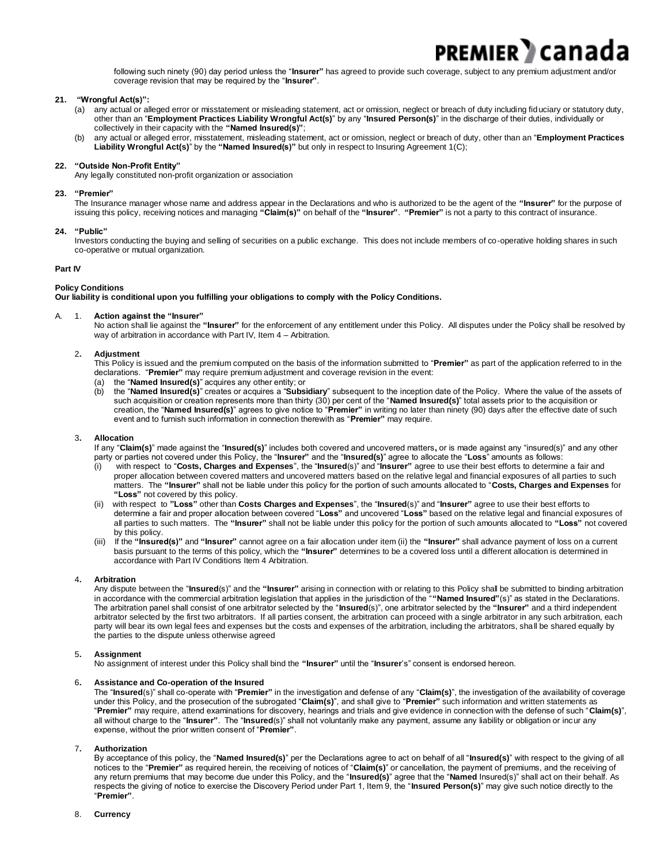following such ninety (90) day period unless the "**Insurer"** has agreed to provide such coverage, subject to any premium adjustment and/or coverage revision that may be required by the "**Insurer"**.

**PREMIER** I Cana

#### **21. "Wrongful Act(s)":**

- (a) any actual or alleged error or misstatement or misleading statement, act or omission, neglect or breach of duty including fiduciary or statutory duty, other than an "**Employment Practices Liability Wrongful Act(s)**" by any "**Insured Person(s)**" in the discharge of their duties, individually or collectively in their capacity with the **"Named Insured(s)"**;
- (b) any actual or alleged error, misstatement, misleading statement, act or omission, neglect or breach of duty, other than an "**Employment Practices Liability Wrongful Act(s)**" by the **"Named Insured(s)"** but only in respect to Insuring Agreement 1(C);

#### **22. "Outside Non-Profit Entity"**

Any legally constituted non-profit organization or association

#### **23. "Premier"**

The Insurance manager whose name and address appear in the Declarations and who is authorized to be the agent of the **"Insurer"** for the purpose of issuing this policy, receiving notices and managing **"Claim(s)"** on behalf of the **"Insurer"**. **"Premier"** is not a party to this contract of insurance.

#### **24. "Public"**

Investors conducting the buying and selling of securities on a public exchange. This does not include members of co-operative holding shares in such co-operative or mutual organization.

#### **Part IV**

#### **Policy Conditions**

**Our liability is conditional upon you fulfilling your obligations to comply with the Policy Conditions.**

#### A. 1. **Action against the "Insurer"**

No action shall lie against the **"Insurer"** for the enforcement of any entitlement under this Policy. All disputes under the Policy shall be resolved by way of arbitration in accordance with Part IV, Item 4 – Arbitration.

#### 2**. Adjustment**

This Policy is issued and the premium computed on the basis of the information submitted to "**Premier"** as part of the application referred to in the declarations. "**Premier"** may require premium adjustment and coverage revision in the event:

- (a) the "**Named Insured(s)**" acquires any other entity; or
- (b) the "**Named Insured(s)**" creates or acquires a "**Subsidiary**" subsequent to the inception date of the Policy. Where the value of the assets of such acquisition or creation represents more than thirty (30) per cent of the "**Named Insured(s)**" total assets prior to the acquisition or creation, the "**Named Insured(s)**" agrees to give notice to "**Premier"** in writing no later than ninety (90) days after the effective date of such event and to furnish such information in connection therewith as "**Premier"** may require.

#### 3**. Allocation**

If any "**Claim(s)**" made against the "**Insured(s)**" includes both covered and uncovered matters**,** or is made against any "insured(s)" and any other party or parties not covered under this Policy, the "**Insurer"** and the "**Insured(s)**" agree to allocate the "**Loss**" amounts as follows:

- (i) with respect to "**Costs, Charges and Expenses**", the "**Insured**(s)" and "**Insurer"** agree to use their best efforts to determine a fair and proper allocation between covered matters and uncovered matters based on the relative legal and financial exposures of all parties to such matters. The **"Insurer"** shall not be liable under this policy for the portion of such amounts allocated to "**Costs, Charges and Expenses** for **"Loss"** not covered by this policy.
- (ii) with respect to **"Loss"** other than **Costs Charges and Expenses**", the "**Insured**(s)" and "**Insurer"** agree to use their best efforts to determine a fair and proper allocation between covered "**Loss"** and uncovered "**Loss"** based on the relative legal and financial exposures of all parties to such matters. The **"Insurer"** shall not be liable under this policy for the portion of such amounts allocated to **"Loss"** not covered by this policy.
- (iii) If the **"Insured(s)"** and **"Insurer"** cannot agree on a fair allocation under item (ii) the **"Insurer"** shall advance payment of loss on a current basis pursuant to the terms of this policy, which the **"Insurer"** determines to be a covered loss until a different allocation is determined in accordance with Part IV Conditions Item 4 Arbitration.

#### 4**. Arbitration**

Any dispute between the "**Insured**(s)" and the **"Insurer"** arising in connection with or relating to this Policy shall be submitted to binding arbitration in accordance with the commercial arbitration legislation that applies in the jurisdiction of the "**"Named Insured"**(s)" as stated in the Declarations. The arbitration panel shall consist of one arbitrator selected by the "**Insured**(s)", one arbitrator selected by the **"Insurer"** and a third independent arbitrator selected by the first two arbitrators. If all parties consent, the arbitration can proceed with a single arbitrator in any such arbitration, each party will bear its own legal fees and expenses but the costs and expenses of the arbitration, including the arbitrators, shall be shared equally by the parties to the dispute unless otherwise agreed

#### 5**. Assignment**

No assignment of interest under this Policy shall bind the **"Insurer"** until the "**Insurer**'s" consent is endorsed hereon.

#### 6**. Assistance and Co-operation of the Insured**

The "**Insured**(s)" shall co-operate with "**Premier"** in the investigation and defense of any "**Claim(s)**", the investigation of the availability of coverage under this Policy, and the prosecution of the subrogated "**Claim(s)**", and shall give to "**Premier"** such information and written statements as "**Premier"** may require, attend examinations for discovery, hearings and trials and give evidence in connection with the defense of such "**Claim(s)**", all without charge to the "**Insurer"**. The "**Insured**(s)" shall not voluntarily make any payment, assume any liability or obligation or incur any expense, without the prior written consent of "**Premier"**.

#### 7**. Authorization**

By acceptance of this policy, the "**Named Insured(s)**" per the Declarations agree to act on behalf of all "**Insured(s)**" with respect to the giving of all notices to the "**Premier"** as required herein, the receiving of notices of "**Claim(s)**" or cancellation, the payment of premiums, and the receiving of any return premiums that may become due under this Policy, and the "**Insured(s)**" agree that the "**Named** Insured(s)" shall act on their behalf. As respects the giving of notice to exercise the Discovery Period under Part 1, Item 9, the "**Insured Person(s)**" may give such notice directly to the "**Premier"**.

#### 8. **Currency**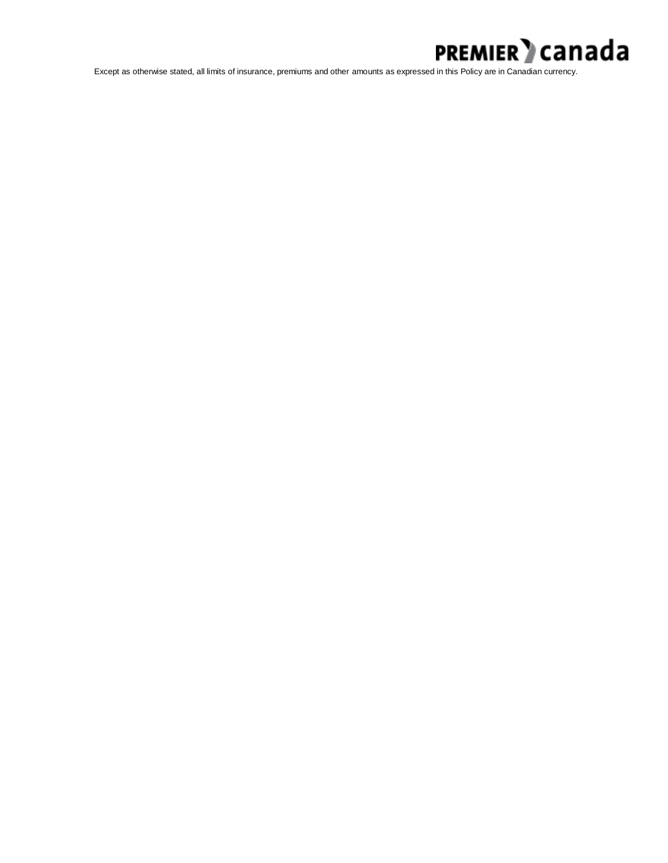

Except as otherwise stated, all limits of insurance, premiums and other amounts as expressed in this Policy are in Canadian currency.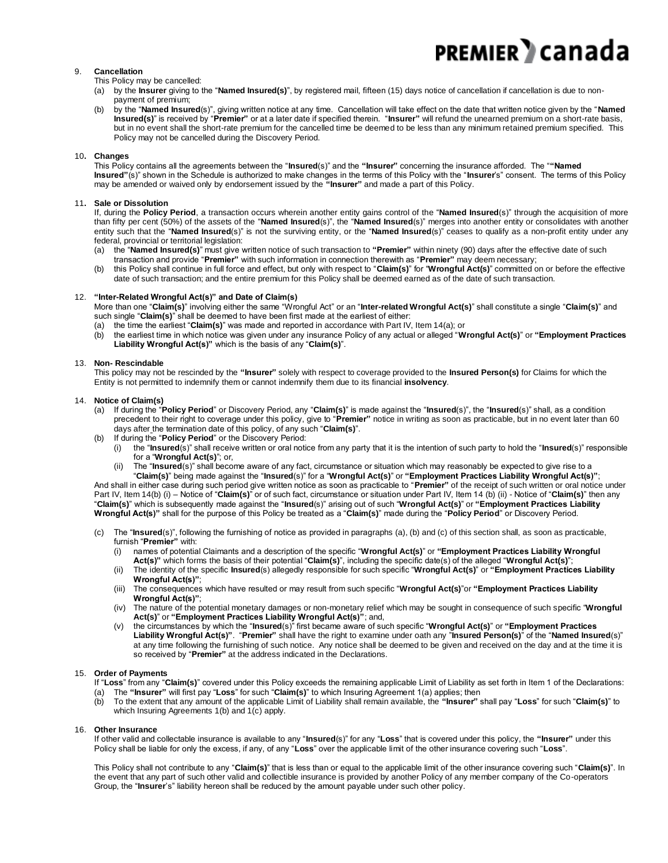#### 9. **Cancellation**

This Policy may be cancelled:

- (a) by the **Insurer** giving to the "**Named Insured(s)**", by registered mail, fifteen (15) days notice of cancellation if cancellation is due to nonpayment of premium;
- (b) by the "**Named Insured**(s)", giving written notice at any time. Cancellation will take effect on the date that written notice given by the "**Named Insured(s)**" is received by "**Premier"** or at a later date if specified therein. "**Insurer"** will refund the unearned premium on a short-rate basis, but in no event shall the short-rate premium for the cancelled time be deemed to be less than any minimum retained premium specified. This Policy may not be cancelled during the Discovery Period.

#### 10**. Changes**

This Policy contains all the agreements between the "**Insured**(s)" and the **"Insurer"** concerning the insurance afforded. The "**"Named Insured"**(s)" shown in the Schedule is authorized to make changes in the terms of this Policy with the "**Insurer**'s" consent. The terms of this Policy may be amended or waived only by endorsement issued by the **"Insurer"** and made a part of this Policy.

#### 11**. Sale or Dissolution**

If, during the **Policy Period**, a transaction occurs wherein another entity gains control of the "**Named Insured**(s)" through the acquisition of more than fifty per cent (50%) of the assets of the "**Named Insured**(s)", the "**Named Insured**(s)" merges into another entity or consolidates with another entity such that the "**Named Insured**(s)" is not the surviving entity, or the "**Named Insured**(s)" ceases to qualify as a non-profit entity under any federal, provincial or territorial legislation:

- (a) the "**Named Insured(s)**" must give written notice of such transaction to **"Premier"** within ninety (90) days after the effective date of such transaction and provide "**Premier"** with such information in connection therewith as "**Premier"** may deem necessary;
- (b) this Policy shall continue in full force and effect, but only with respect to "**Claim(s)**" for "**Wrongful Act(s)**" committed on or before the effective date of such transaction; and the entire premium for this Policy shall be deemed earned as of the date of such transaction.

#### 12. **"Inter-Related Wrongful Act(s)" and Date of Claim(s)**

More than one "**Claim(s)**" involving either the same "Wrongful Act" or an "**Inter-related Wrongful Act(s)**" shall constitute a single "**Claim(s)**" and such single "**Claim(s)**" shall be deemed to have been first made at the earliest of either:

- (a) the time the earliest "**Claim(s)**" was made and reported in accordance with Part IV, Item 14(a); or
- (b) the earliest time in which notice was given under any insurance Policy of any actual or alleged "**Wrongful Act(s)**" or **"Employment Practices Liability Wrongful Act(s)"** which is the basis of any "**Claim(s)**".

#### 13. **Non- Rescindable**

This policy may not be rescinded by the **"Insurer"** solely with respect to coverage provided to the **Insured Person(s)** for Claims for which the Entity is not permitted to indemnify them or cannot indemnify them due to its financial **insolvency**.

#### 14. **Notice of Claim(s)**

- (a) If during the "**Policy Period**" or Discovery Period, any "**Claim(s)**" is made against the "**Insured**(s)", the "**Insured**(s)" shall, as a condition precedent to their right to coverage under this policy, give to "**Premier"** notice in writing as soon as practicable, but in no event later than 60 days after the termination date of this policy, of any such "**Claim(s)**".
- (b) If during the "**Policy Period**" or the Discovery Period:
	- (i) the "**Insured**(s)" shall receive written or oral notice from any party that it is the intention of such party to hold the "**Insured**(s)" responsible for a "**Wrongful Act(s)**"; or,
	- (ii) The "**Insured**(s)" shall become aware of any fact, circumstance or situation which may reasonably be expected to give rise to a

"**Claim(s)**" being made against the "**Insured**(s)" for a "**Wrongful Act(s)**" or **"Employment Practices Liability Wrongful Act(s)"**; And shall in either case during such period give written notice as soon as practicable to "**Premier"** of the receipt of such written or oral notice under Part IV, Item 14(b) (i) – Notice of "**Claim(s)**" or of such fact, circumstance or situation under Part IV, Item 14 (b) (ii) - Notice of "**Claim(s)**" then any "**Claim(s)**" which is subsequently made against the "**Insured**(s)" arising out of such "**Wrongful Act(s)**" or **"Employment Practices Liability Wrongful Act(s)"** shall for the purpose of this Policy be treated as a "**Claim(s)**" made during the "**Policy Period**" or Discovery Period.

- (c) The "**Insured**(s)", following the furnishing of notice as provided in paragraphs (a), (b) and (c) of this section shall, as soon as practicable, furnish "**Premier"** with:
	- (i) names of potential Claimants and a description of the specific "**Wrongful Act(s)**" or **"Employment Practices Liability Wrongful Act(s)"** which forms the basis of their potential "**Claim(s)**", including the specific date(s) of the alleged "**Wrongful Act(s)**";
	- (ii) The identity of the specific **Insured**(s) allegedly responsible for such specific "**Wrongful Act(s)**" or **"Employment Practices Liability Wrongful Act(s)"**;
	- (iii) The consequences which have resulted or may result from such specific "**Wrongful Act(s)**"or **"Employment Practices Liability Wrongful Act(s)"**;
	- (iv) The nature of the potential monetary damages or non-monetary relief which may be sought in consequence of such specific "**Wrongful Act(s)**" or **"Employment Practices Liability Wrongful Act(s)"**; and,
	- (v) the circumstances by which the "**Insured**(s)" first became aware of such specific "**Wrongful Act(s)**" or **"Employment Practices Liability Wrongful Act(s)"**. "**Premier"** shall have the right to examine under oath any "**Insured Person(s)**" of the "**Named Insured**(s)" at any time following the furnishing of such notice. Any notice shall be deemed to be given and received on the day and at the time it is so received by "**Premier"** at the address indicated in the Declarations.

#### 15. **Order of Payments**

If "**Loss**" from any "**Claim(s)**" covered under this Policy exceeds the remaining applicable Limit of Liability as set forth in Item 1 of the Declarations: (a) The **"Insurer"** will first pay "**Loss**" for such "**Claim(s)**" to which Insuring Agreement 1(a) applies; then

(b) To the extent that any amount of the applicable Limit of Liability shall remain available, the **"Insurer"** shall pay "**Loss**" for such "**Claim(s)**" to which Insuring Agreements 1(b) and 1(c) apply.

#### 16. **Other Insurance**

If other valid and collectable insurance is available to any "**Insured**(s)" for any "**Loss**" that is covered under this policy, the **"Insurer"** under this Policy shall be liable for only the excess, if any, of any "**Loss**" over the applicable limit of the other insurance covering such "**Loss**".

This Policy shall not contribute to any "**Claim(s)**" that is less than or equal to the applicable limit of the other insurance covering such "**Claim(s)**". In the event that any part of such other valid and collectible insurance is provided by another Policy of any member company of the Co-operators Group, the "**Insurer**'s" liability hereon shall be reduced by the amount payable under such other policy.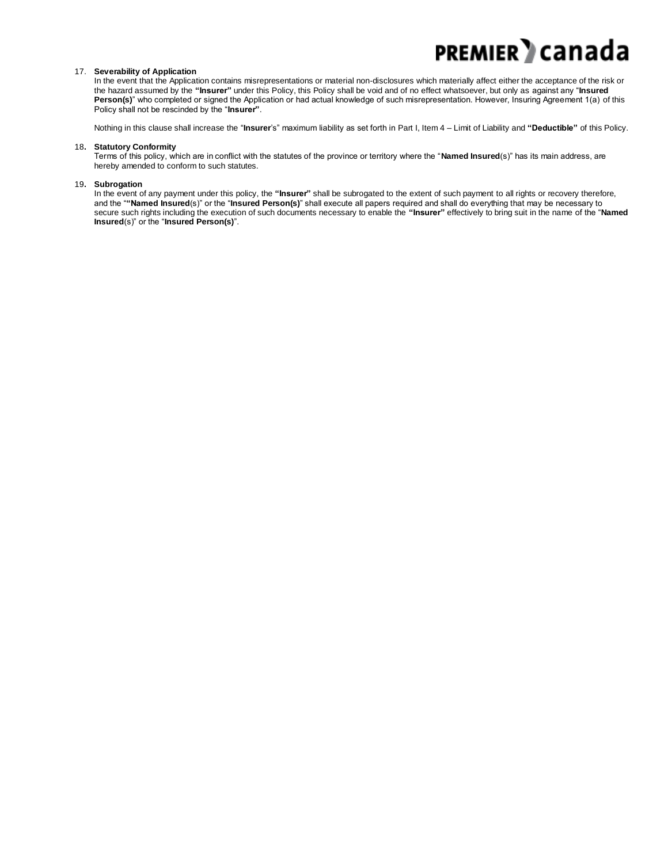#### 17. **Severability of Application**

In the event that the Application contains misrepresentations or material non-disclosures which materially affect either the acceptance of the risk or the hazard assumed by the **"Insurer"** under this Policy, this Policy shall be void and of no effect whatsoever, but only as against any "**Insured** Person(s)" who completed or signed the Application or had actual knowledge of such misrepresentation. However, Insuring Agreement 1(a) of this Policy shall not be rescinded by the "**Insurer"**.

Nothing in this clause shall increase the "**Insurer**'s" maximum liability as set forth in Part I, Item 4 – Limit of Liability and **"Deductible"** of this Policy.

#### 18**. Statutory Conformity**

Terms of this policy, which are in conflict with the statutes of the province or territory where the "**Named Insured**(s)" has its main address, are hereby amended to conform to such statutes.

#### 19**. Subrogation**

In the event of any payment under this policy, the **"Insurer"** shall be subrogated to the extent of such payment to all rights or recovery therefore, and the "**"Named Insured**(s)" or the "**Insured Person(s)**" shall execute all papers required and shall do everything that may be necessary to secure such rights including the execution of such documents necessary to enable the **"Insurer"** effectively to bring suit in the name of the "**Named Insured**(s)" or the "**Insured Person(s)**".